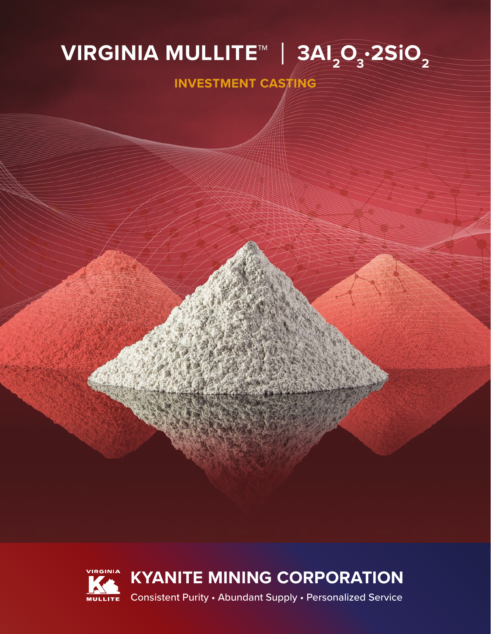# **<code>VIRGINIA MULLITE™ | 3AI<sub>2</sub>O<sub>3</sub>·2SiO<sub>2</sub>**</code>

**INVESTMENT CASTING**